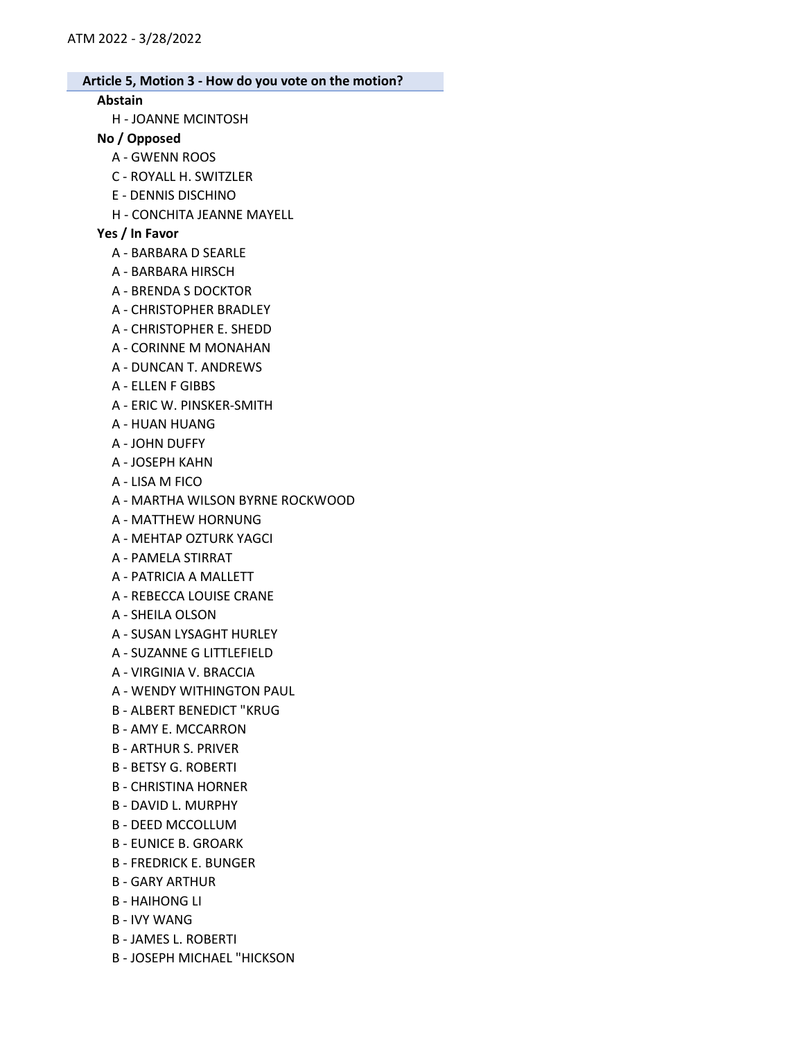## Abstain

H - JOANNE MCINTOSH

# No / Opposed

- A GWENN ROOS
- C ROYALL H. SWITZLER
- E DENNIS DISCHINO
- H CONCHITA JEANNE MAYELL

# Yes / In Favor

- A BARBARA D SEARLE
- A BARBARA HIRSCH
- A BRENDA S DOCKTOR
- A CHRISTOPHER BRADLEY
- A CHRISTOPHER E. SHEDD
- A CORINNE M MONAHAN
- A DUNCAN T. ANDREWS
- A ELLEN F GIBBS
- A ERIC W. PINSKER-SMITH
- A HUAN HUANG
- A JOHN DUFFY
- A JOSEPH KAHN
- A LISA M FICO
- A MARTHA WILSON BYRNE ROCKWOOD
- A MATTHEW HORNUNG
- A MEHTAP OZTURK YAGCI
- A PAMELA STIRRAT
- A PATRICIA A MALLETT
- A REBECCA LOUISE CRANE
- A SHEILA OLSON
- A SUSAN LYSAGHT HURLEY
- A SUZANNE G LITTLEFIELD
- A VIRGINIA V. BRACCIA
- A WENDY WITHINGTON PAUL
- B ALBERT BENEDICT "KRUG
- B AMY E. MCCARRON
- B ARTHUR S. PRIVER
- B BETSY G. ROBERTI
- B CHRISTINA HORNER
- B DAVID L. MURPHY
- B DEED MCCOLLUM
- B EUNICE B. GROARK
- B FREDRICK E. BUNGER
- B GARY ARTHUR
- B HAIHONG LI
- B IVY WANG
- B JAMES L. ROBERTI
- B JOSEPH MICHAEL "HICKSON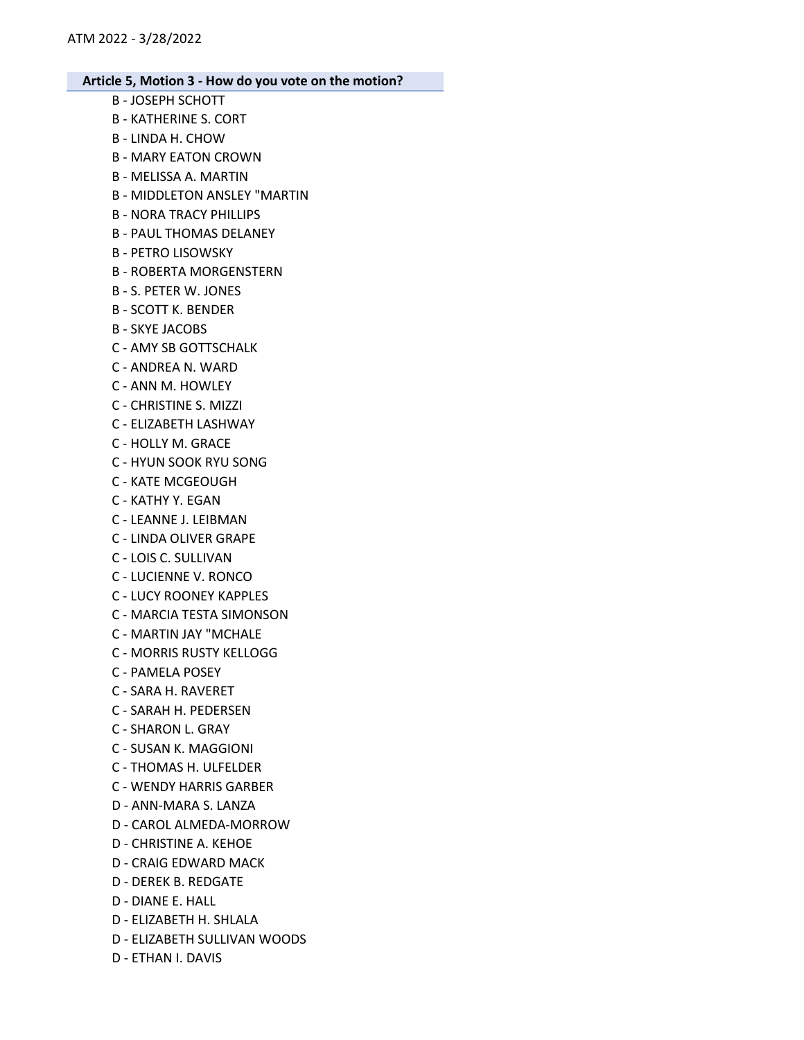- B JOSEPH SCHOTT B - KATHERINE S. CORT B - LINDA H. CHOW B - MARY EATON CROWN B - MELISSA A. MARTIN B - MIDDLETON ANSLEY "MARTIN B - NORA TRACY PHILLIPS B - PAUL THOMAS DELANEY B - PETRO LISOWSKY B - ROBERTA MORGENSTERN B - S. PETER W. JONES B - SCOTT K. BENDER B - SKYE JACOBS C - AMY SB GOTTSCHALK C - ANDREA N. WARD C - ANN M. HOWLEY C - CHRISTINE S. MIZZI C - ELIZABETH LASHWAY C - HOLLY M. GRACE C - HYUN SOOK RYU SONG C - KATE MCGEOUGH C - KATHY Y. EGAN C - LEANNE J. LEIBMAN C - LINDA OLIVER GRAPE C - LOIS C. SULLIVAN C - LUCIENNE V. RONCO C - LUCY ROONEY KAPPLES C - MARCIA TESTA SIMONSON C - MARTIN JAY "MCHALE C - MORRIS RUSTY KELLOGG C - PAMELA POSEY C - SARA H. RAVERET C - SARAH H. PEDERSEN C - SHARON L. GRAY C - SUSAN K. MAGGIONI C - THOMAS H. ULFELDER C - WENDY HARRIS GARBER D - ANN-MARA S. LANZA D - CAROL ALMEDA-MORROW D - CHRISTINE A. KEHOE D - CRAIG EDWARD MACK D - DEREK B. REDGATE D - DIANE E. HALL D - ELIZABETH H. SHLALA D - ELIZABETH SULLIVAN WOODS
- D ETHAN I. DAVIS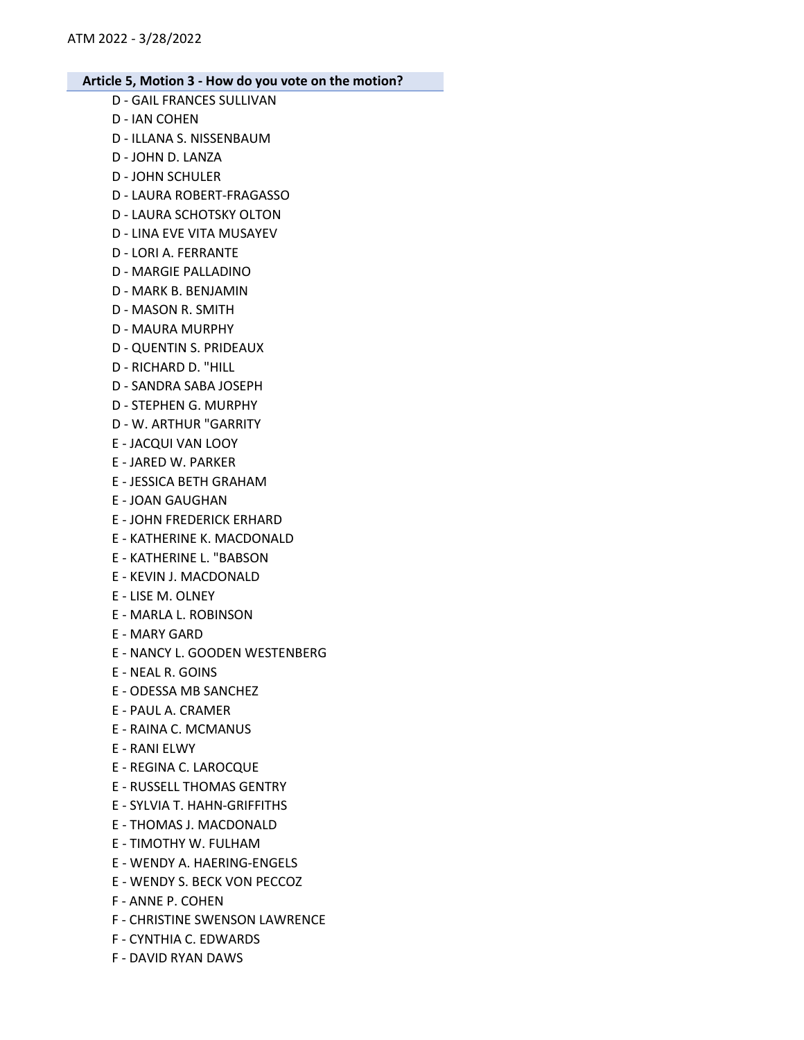- D GAIL FRANCES SULLIVAN
- D IAN COHEN
- D ILLANA S. NISSENBAUM
- D JOHN D. LANZA
- D JOHN SCHULER
- D LAURA ROBERT-FRAGASSO
- D LAURA SCHOTSKY OLTON
- D LINA EVE VITA MUSAYEV
- D LORI A. FERRANTE
- D MARGIE PALLADINO
- D MARK B. BENJAMIN
- D MASON R. SMITH
- D MAURA MURPHY
- D QUENTIN S. PRIDEAUX
- D RICHARD D. "HILL
- D SANDRA SABA JOSEPH
- D STEPHEN G. MURPHY
- D W. ARTHUR "GARRITY
- E JACQUI VAN LOOY
- E JARED W. PARKER
- E JESSICA BETH GRAHAM
- E JOAN GAUGHAN
- E JOHN FREDERICK ERHARD
- E KATHERINE K. MACDONALD
- E KATHERINE L. "BABSON
- E KEVIN J. MACDONALD
- E LISE M. OLNEY
- E MARLA L. ROBINSON
- E MARY GARD
- E NANCY L. GOODEN WESTENBERG
- E NEAL R. GOINS
- E ODESSA MB SANCHEZ
- E PAUL A. CRAMER
- E RAINA C. MCMANUS
- E RANI ELWY
- E REGINA C. LAROCQUE
- E RUSSELL THOMAS GENTRY
- E SYLVIA T. HAHN-GRIFFITHS
- E THOMAS J. MACDONALD
- E TIMOTHY W. FULHAM
- E WENDY A. HAERING-ENGELS
- E WENDY S. BECK VON PECCOZ
- F ANNE P. COHEN
- F CHRISTINE SWENSON LAWRENCE
- F CYNTHIA C. EDWARDS
- F DAVID RYAN DAWS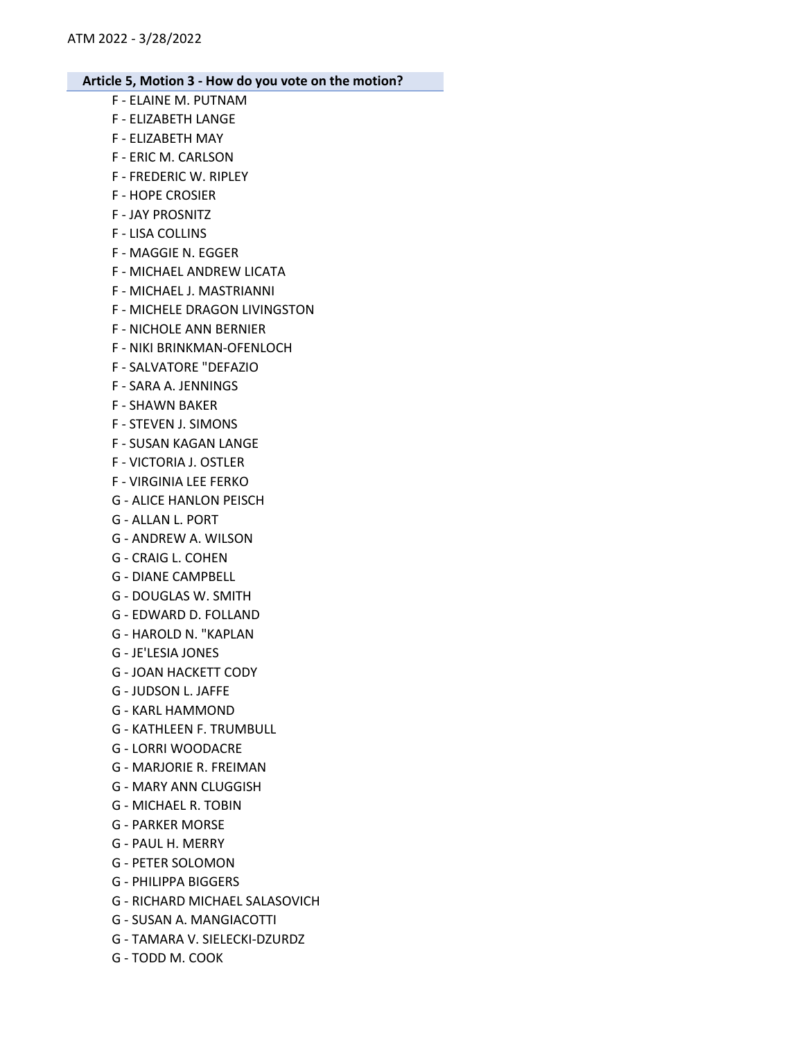- F ELAINE M. PUTNAM F - ELIZABETH LANGE
- F ELIZABETH MAY
- F ERIC M. CARLSON
- F FREDERIC W. RIPLEY
- F HOPE CROSIER
- F JAY PROSNITZ
- F LISA COLLINS
- F MAGGIE N. EGGER
- F MICHAEL ANDREW LICATA
- F MICHAEL J. MASTRIANNI
- F MICHELE DRAGON LIVINGSTON
- F NICHOLE ANN BERNIER
- F NIKI BRINKMAN-OFENLOCH
- F SALVATORE "DEFAZIO
- F SARA A. JENNINGS
- F SHAWN BAKER
- F STEVEN J. SIMONS
- F SUSAN KAGAN LANGE
- F VICTORIA J. OSTLER
- F VIRGINIA LEE FERKO
- G ALICE HANLON PEISCH
- G ALLAN L. PORT
- G ANDREW A. WILSON
- G CRAIG L. COHEN
- G DIANE CAMPBELL
- G DOUGLAS W. SMITH
- G EDWARD D. FOLLAND
- G HAROLD N. "KAPLAN
- G JE'LESIA JONES
- G JOAN HACKETT CODY
- G JUDSON L. JAFFE
- G KARL HAMMOND
- G KATHLEEN F. TRUMBULL
- G LORRI WOODACRE
- G MARJORIE R. FREIMAN
- G MARY ANN CLUGGISH
- G MICHAEL R. TOBIN
- G PARKER MORSE
- G PAUL H. MERRY
- G PETER SOLOMON
- G PHILIPPA BIGGERS
- G RICHARD MICHAEL SALASOVICH
- G SUSAN A. MANGIACOTTI
- G TAMARA V. SIELECKI-DZURDZ
- G TODD M. COOK